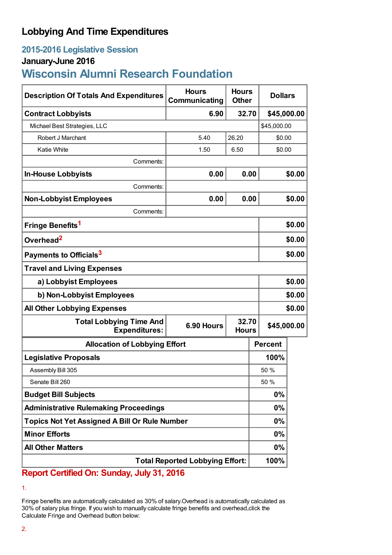## **Lobbying And Time Expenditures**

## **2015-2016 Legislative Session**

### **January-June 2016**

# **Wisconsin Alumni Research Foundation**

| <b>Description Of Totals And Expenditures</b>                                           | <b>Hours</b><br>Communicating | <b>Hours</b><br><b>Other</b> |                | <b>Dollars</b> |  |
|-----------------------------------------------------------------------------------------|-------------------------------|------------------------------|----------------|----------------|--|
| <b>Contract Lobbyists</b>                                                               | 6.90                          | 32.70                        |                | \$45,000.00    |  |
| Michael Best Strategies, LLC                                                            |                               |                              |                | \$45,000.00    |  |
| Robert J Marchant                                                                       | 5.40                          | 26.20                        |                | \$0.00         |  |
| <b>Katie White</b>                                                                      | 1.50                          | 6.50                         | \$0.00         |                |  |
| Comments:                                                                               |                               |                              |                |                |  |
| <b>In-House Lobbyists</b>                                                               | 0.00                          | 0.00                         |                | \$0.00         |  |
| Comments:                                                                               |                               |                              |                |                |  |
| <b>Non-Lobbyist Employees</b>                                                           | 0.00                          | 0.00                         |                | \$0.00         |  |
| Comments:                                                                               |                               |                              |                |                |  |
| Fringe Benefits <sup>1</sup>                                                            |                               |                              |                | \$0.00         |  |
| Overhead <sup>2</sup>                                                                   |                               |                              |                | \$0.00         |  |
| Payments to Officials <sup>3</sup>                                                      |                               |                              |                | \$0.00         |  |
| <b>Travel and Living Expenses</b>                                                       |                               |                              |                |                |  |
| a) Lobbyist Employees                                                                   |                               |                              |                | \$0.00         |  |
| b) Non-Lobbyist Employees                                                               |                               |                              |                | \$0.00         |  |
| <b>All Other Lobbying Expenses</b>                                                      |                               |                              |                | \$0.00         |  |
| <b>Total Lobbying Time And</b><br><b>Expenditures:</b>                                  | 6.90 Hours                    | 32.70<br><b>Hours</b>        |                | \$45,000.00    |  |
| <b>Allocation of Lobbying Effort</b>                                                    |                               |                              | <b>Percent</b> |                |  |
| <b>Legislative Proposals</b>                                                            |                               |                              | 100%           |                |  |
| Assembly Bill 305                                                                       |                               |                              | 50 %           |                |  |
| Senate Bill 260                                                                         |                               |                              | 50 %           |                |  |
| <b>Budget Bill Subjects</b>                                                             |                               |                              | 0%             |                |  |
| <b>Administrative Rulemaking Proceedings</b>                                            |                               |                              | 0%             |                |  |
| <b>Topics Not Yet Assigned A Bill Or Rule Number</b>                                    |                               |                              | 0%             |                |  |
| <b>Minor Efforts</b>                                                                    |                               |                              | 0%             |                |  |
| <b>All Other Matters</b>                                                                |                               |                              | 0%             |                |  |
| <b>Total Reported Lobbying Effort:</b><br>L.L. 24.204C<br>$\mathbf{A}$ ifia al Omio Com |                               |                              | 100%           |                |  |

**Report Certified On: Sunday, July 31, 2016**

<sup>1.</sup>

Fringe benefits are automatically calculated as 30% of salary.Overhead is automatically calculated as 30% of salary plus fringe. If you wish to manually calculate fringe benefits and overhead,click the Calculate Fringe and Overhead button below: